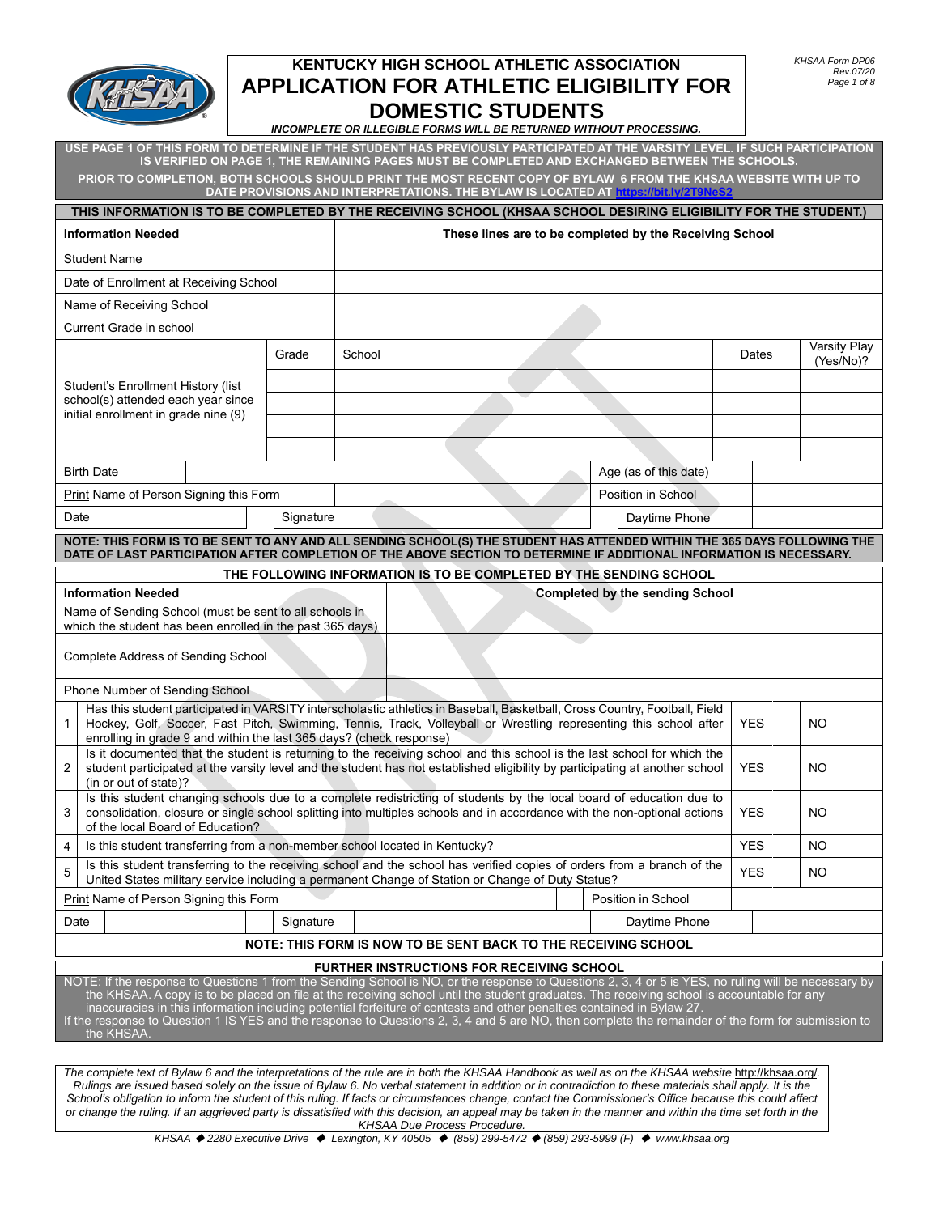

#### *INCOMPLETE OR ILLEGIBLE FORMS WILL BE RETURNED WITHOUT PROCESSING.*

**USE PAGE 1 OF THIS FORM TO DETERMINE IF THE STUDENT HAS PREVIOUSLY PARTICIPATED AT THE VARSITY LEVEL. IF SUCH PARTICIPATION IS VERIFIED ON PAGE 1, THE REMAINING PAGES MUST BE COMPLETED AND EXCHANGED BETWEEN THE SCHOOLS. PRIOR TO COMPLETION, BOTH SCHOOLS SHOULD PRINT THE MOST RECENT COPY OF BYLAW 6 FROM THE KHSAA WEBSITE WITH UP TO DATE PROVISIONS AND INTERPRETATIONS. THE BYLAW IS LOCATED A[T https://bit.ly/2T9NeS2](https://bit.ly/2T9NeS2)**

|                                                                                                                                                                                                                                                                                                                                                                                                                                                                                                                                                                                                  |                                                                                                                     |  |           |        | THIS INFORMATION IS TO BE COMPLETED BY THE RECEIVING SCHOOL (KHSAA SCHOOL DESIRING ELIGIBILITY FOR THE STUDENT.)                                                                                                                                        |  |                                                         |            |                           |
|--------------------------------------------------------------------------------------------------------------------------------------------------------------------------------------------------------------------------------------------------------------------------------------------------------------------------------------------------------------------------------------------------------------------------------------------------------------------------------------------------------------------------------------------------------------------------------------------------|---------------------------------------------------------------------------------------------------------------------|--|-----------|--------|---------------------------------------------------------------------------------------------------------------------------------------------------------------------------------------------------------------------------------------------------------|--|---------------------------------------------------------|------------|---------------------------|
| <b>Information Needed</b>                                                                                                                                                                                                                                                                                                                                                                                                                                                                                                                                                                        |                                                                                                                     |  |           |        |                                                                                                                                                                                                                                                         |  | These lines are to be completed by the Receiving School |            |                           |
| <b>Student Name</b>                                                                                                                                                                                                                                                                                                                                                                                                                                                                                                                                                                              |                                                                                                                     |  |           |        |                                                                                                                                                                                                                                                         |  |                                                         |            |                           |
|                                                                                                                                                                                                                                                                                                                                                                                                                                                                                                                                                                                                  | Date of Enrollment at Receiving School                                                                              |  |           |        |                                                                                                                                                                                                                                                         |  |                                                         |            |                           |
|                                                                                                                                                                                                                                                                                                                                                                                                                                                                                                                                                                                                  | Name of Receiving School                                                                                            |  |           |        |                                                                                                                                                                                                                                                         |  |                                                         |            |                           |
|                                                                                                                                                                                                                                                                                                                                                                                                                                                                                                                                                                                                  | Current Grade in school                                                                                             |  |           |        |                                                                                                                                                                                                                                                         |  |                                                         |            |                           |
|                                                                                                                                                                                                                                                                                                                                                                                                                                                                                                                                                                                                  |                                                                                                                     |  | Grade     | School |                                                                                                                                                                                                                                                         |  |                                                         | Dates      | Varsity Play<br>(Yes/No)? |
|                                                                                                                                                                                                                                                                                                                                                                                                                                                                                                                                                                                                  | Student's Enrollment History (list<br>school(s) attended each year since                                            |  |           |        |                                                                                                                                                                                                                                                         |  |                                                         |            |                           |
|                                                                                                                                                                                                                                                                                                                                                                                                                                                                                                                                                                                                  | initial enrollment in grade nine (9)                                                                                |  |           |        |                                                                                                                                                                                                                                                         |  |                                                         |            |                           |
|                                                                                                                                                                                                                                                                                                                                                                                                                                                                                                                                                                                                  |                                                                                                                     |  |           |        |                                                                                                                                                                                                                                                         |  |                                                         |            |                           |
| <b>Birth Date</b>                                                                                                                                                                                                                                                                                                                                                                                                                                                                                                                                                                                |                                                                                                                     |  |           |        |                                                                                                                                                                                                                                                         |  |                                                         |            |                           |
|                                                                                                                                                                                                                                                                                                                                                                                                                                                                                                                                                                                                  |                                                                                                                     |  |           |        |                                                                                                                                                                                                                                                         |  | Age (as of this date)                                   |            |                           |
|                                                                                                                                                                                                                                                                                                                                                                                                                                                                                                                                                                                                  | Print Name of Person Signing this Form                                                                              |  |           |        |                                                                                                                                                                                                                                                         |  | Position in School                                      |            |                           |
| Date                                                                                                                                                                                                                                                                                                                                                                                                                                                                                                                                                                                             |                                                                                                                     |  | Signature |        |                                                                                                                                                                                                                                                         |  | Daytime Phone                                           |            |                           |
|                                                                                                                                                                                                                                                                                                                                                                                                                                                                                                                                                                                                  |                                                                                                                     |  |           |        | NOTE: THIS FORM IS TO BE SENT TO ANY AND ALL SENDING SCHOOL(S) THE STUDENT HAS ATTENDED WITHIN THE 365 DAYS FOLLOWING THE<br>DATE OF LAST PARTICIPATION AFTER COMPLETION OF THE ABOVE SECTION TO DETERMINE IF ADDITIONAL INFORMATION IS NECESSARY.      |  |                                                         |            |                           |
|                                                                                                                                                                                                                                                                                                                                                                                                                                                                                                                                                                                                  | THE FOLLOWING INFORMATION IS TO BE COMPLETED BY THE SENDING SCHOOL                                                  |  |           |        |                                                                                                                                                                                                                                                         |  |                                                         |            |                           |
|                                                                                                                                                                                                                                                                                                                                                                                                                                                                                                                                                                                                  | <b>Information Needed</b>                                                                                           |  |           |        |                                                                                                                                                                                                                                                         |  | <b>Completed by the sending School</b>                  |            |                           |
|                                                                                                                                                                                                                                                                                                                                                                                                                                                                                                                                                                                                  | Name of Sending School (must be sent to all schools in<br>which the student has been enrolled in the past 365 days) |  |           |        |                                                                                                                                                                                                                                                         |  |                                                         |            |                           |
|                                                                                                                                                                                                                                                                                                                                                                                                                                                                                                                                                                                                  | <b>Complete Address of Sending School</b>                                                                           |  |           |        |                                                                                                                                                                                                                                                         |  |                                                         |            |                           |
|                                                                                                                                                                                                                                                                                                                                                                                                                                                                                                                                                                                                  | Phone Number of Sending School                                                                                      |  |           |        |                                                                                                                                                                                                                                                         |  |                                                         |            |                           |
| $\mathbf{1}$                                                                                                                                                                                                                                                                                                                                                                                                                                                                                                                                                                                     | enrolling in grade 9 and within the last 365 days? (check response)                                                 |  |           |        | Has this student participated in VARSITY interscholastic athletics in Baseball, Basketball, Cross Country, Football, Field<br>Hockey, Golf, Soccer, Fast Pitch, Swimming, Tennis, Track, Volleyball or Wrestling representing this school after         |  |                                                         | <b>YES</b> | <b>NO</b>                 |
| $\overline{2}$                                                                                                                                                                                                                                                                                                                                                                                                                                                                                                                                                                                   |                                                                                                                     |  |           |        | Is it documented that the student is returning to the receiving school and this school is the last school for which the<br>student participated at the varsity level and the student has not established eligibility by participating at another school |  |                                                         | <b>YES</b> | NO.                       |
|                                                                                                                                                                                                                                                                                                                                                                                                                                                                                                                                                                                                  | (in or out of state)?                                                                                               |  |           |        | Is this student changing schools due to a complete redistricting of students by the local board of education due to                                                                                                                                     |  |                                                         |            |                           |
| 3                                                                                                                                                                                                                                                                                                                                                                                                                                                                                                                                                                                                | of the local Board of Education?                                                                                    |  |           |        | consolidation, closure or single school splitting into multiples schools and in accordance with the non-optional actions                                                                                                                                |  |                                                         | <b>YES</b> | NO.                       |
| 4                                                                                                                                                                                                                                                                                                                                                                                                                                                                                                                                                                                                |                                                                                                                     |  |           |        | Is this student transferring from a non-member school located in Kentucky?                                                                                                                                                                              |  |                                                         | <b>YES</b> | NO.                       |
| 5                                                                                                                                                                                                                                                                                                                                                                                                                                                                                                                                                                                                |                                                                                                                     |  |           |        | Is this student transferring to the receiving school and the school has verified copies of orders from a branch of the<br>United States military service including a permanent Change of Station or Change of Duty Status?                              |  |                                                         | <b>YES</b> | <b>NO</b>                 |
|                                                                                                                                                                                                                                                                                                                                                                                                                                                                                                                                                                                                  | Print Name of Person Signing this Form                                                                              |  |           |        |                                                                                                                                                                                                                                                         |  | Position in School                                      |            |                           |
| Date                                                                                                                                                                                                                                                                                                                                                                                                                                                                                                                                                                                             |                                                                                                                     |  | Signature |        |                                                                                                                                                                                                                                                         |  | Daytime Phone                                           |            |                           |
| NOTE: THIS FORM IS NOW TO BE SENT BACK TO THE RECEIVING SCHOOL                                                                                                                                                                                                                                                                                                                                                                                                                                                                                                                                   |                                                                                                                     |  |           |        |                                                                                                                                                                                                                                                         |  |                                                         |            |                           |
| <b>FURTHER INSTRUCTIONS FOR RECEIVING SCHOOL</b>                                                                                                                                                                                                                                                                                                                                                                                                                                                                                                                                                 |                                                                                                                     |  |           |        |                                                                                                                                                                                                                                                         |  |                                                         |            |                           |
| NOTE: If the response to Questions 1 from the Sending School is NO, or the response to Questions 2, 3, 4 or 5 is YES, no ruling will be necessary by<br>the KHSAA. A copy is to be placed on file at the receiving school until the student graduates. The receiving school is accountable for any<br>inaccuracies in this information including potential forfeiture of contests and other penalties contained in Bylaw 27.<br>If the response to Question 1 IS YES and the response to Questions 2, 3, 4 and 5 are NO, then complete the remainder of the form for submission to<br>the KHSAA. |                                                                                                                     |  |           |        |                                                                                                                                                                                                                                                         |  |                                                         |            |                           |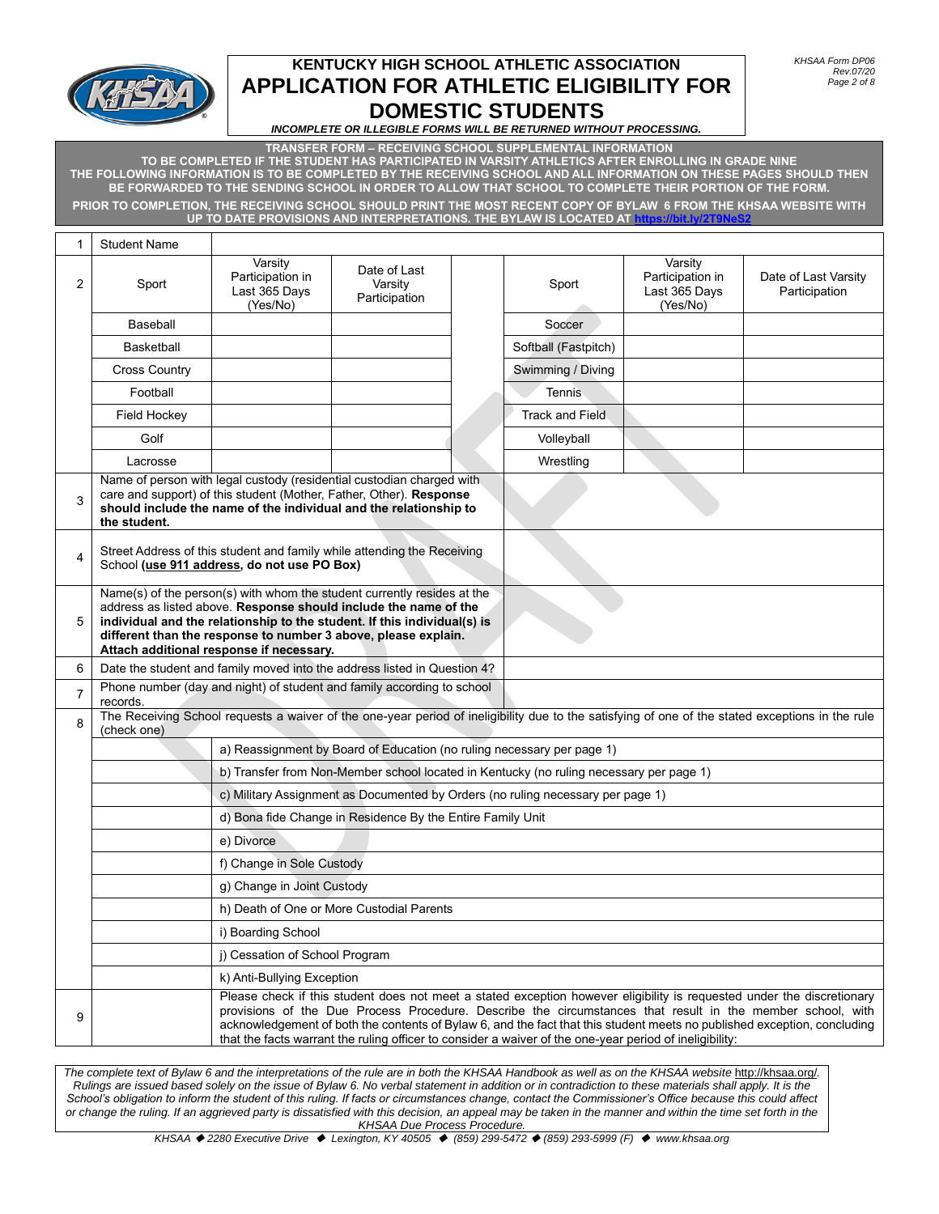

*INCOMPLETE OR ILLEGIBLE FORMS WILL BE RETURNED WITHOUT PROCESSING.*

**TRANSFER FORM – RECEIVING SCHOOL SUPPLEMENTAL INFORMATION TO BE COMPLETED IF THE STUDENT HAS PARTICIPATED IN VARSITY ATHLETICS AFTER ENROLLING IN GRADE NINE THE FOLLOWING INFORMATION IS TO BE COMPLETED BY THE RECEIVING SCHOOL AND ALL INFORMATION ON THESE PAGES SHOULD THEN BE FORWARDED TO THE SENDING SCHOOL IN ORDER TO ALLOW THAT SCHOOL TO COMPLETE THEIR PORTION OF THE FORM. PRIOR TO COMPLETION, THE RECEIVING SCHOOL SHOULD PRINT THE MOST RECENT COPY OF BYLAW 6 FROM THE KHSAA WEBSITE WITH UP TO DATE PROVISIONS AND INTERPRETATIONS. THE BYLAW IS LOCATED AT<https://bit.ly/2T9NeS2>**

| 1 | <b>Student Name</b>                                                                                                                                                                                                                                                                                                                   |                                                          |                                                                        |  |                                                                                                         |                                                          |                                                                                                                                                                                                                                                                                                                                                                  |
|---|---------------------------------------------------------------------------------------------------------------------------------------------------------------------------------------------------------------------------------------------------------------------------------------------------------------------------------------|----------------------------------------------------------|------------------------------------------------------------------------|--|---------------------------------------------------------------------------------------------------------|----------------------------------------------------------|------------------------------------------------------------------------------------------------------------------------------------------------------------------------------------------------------------------------------------------------------------------------------------------------------------------------------------------------------------------|
| 2 | Sport                                                                                                                                                                                                                                                                                                                                 | Varsity<br>Participation in<br>Last 365 Days<br>(Yes/No) | Date of Last<br>Varsity<br>Participation                               |  | Sport                                                                                                   | Varsity<br>Participation in<br>Last 365 Days<br>(Yes/No) | Date of Last Varsity<br>Participation                                                                                                                                                                                                                                                                                                                            |
|   | Baseball                                                                                                                                                                                                                                                                                                                              |                                                          |                                                                        |  | Soccer                                                                                                  |                                                          |                                                                                                                                                                                                                                                                                                                                                                  |
|   | Basketball                                                                                                                                                                                                                                                                                                                            |                                                          |                                                                        |  | Softball (Fastpitch)                                                                                    |                                                          |                                                                                                                                                                                                                                                                                                                                                                  |
|   | <b>Cross Country</b>                                                                                                                                                                                                                                                                                                                  |                                                          |                                                                        |  | Swimming / Diving                                                                                       |                                                          |                                                                                                                                                                                                                                                                                                                                                                  |
|   | Football                                                                                                                                                                                                                                                                                                                              |                                                          |                                                                        |  | Tennis                                                                                                  |                                                          |                                                                                                                                                                                                                                                                                                                                                                  |
|   | Field Hockey                                                                                                                                                                                                                                                                                                                          |                                                          |                                                                        |  | <b>Track and Field</b>                                                                                  |                                                          |                                                                                                                                                                                                                                                                                                                                                                  |
|   | Golf                                                                                                                                                                                                                                                                                                                                  |                                                          |                                                                        |  | Volleyball                                                                                              |                                                          |                                                                                                                                                                                                                                                                                                                                                                  |
|   | Lacrosse                                                                                                                                                                                                                                                                                                                              |                                                          |                                                                        |  | Wrestling                                                                                               |                                                          |                                                                                                                                                                                                                                                                                                                                                                  |
| 3 | Name of person with legal custody (residential custodian charged with<br>care and support) of this student (Mother, Father, Other). Response<br>should include the name of the individual and the relationship to<br>the student.                                                                                                     |                                                          |                                                                        |  |                                                                                                         |                                                          |                                                                                                                                                                                                                                                                                                                                                                  |
| 4 | Street Address of this student and family while attending the Receiving<br>School (use 911 address, do not use PO Box)                                                                                                                                                                                                                |                                                          |                                                                        |  |                                                                                                         |                                                          |                                                                                                                                                                                                                                                                                                                                                                  |
| 5 | Name(s) of the person(s) with whom the student currently resides at the<br>address as listed above. Response should include the name of the<br>individual and the relationship to the student. If this individual(s) is<br>different than the response to number 3 above, please explain.<br>Attach additional response if necessary. |                                                          |                                                                        |  |                                                                                                         |                                                          |                                                                                                                                                                                                                                                                                                                                                                  |
| 6 | Date the student and family moved into the address listed in Question 4?                                                                                                                                                                                                                                                              |                                                          |                                                                        |  |                                                                                                         |                                                          |                                                                                                                                                                                                                                                                                                                                                                  |
| 7 | Phone number (day and night) of student and family according to school<br>records.                                                                                                                                                                                                                                                    |                                                          |                                                                        |  |                                                                                                         |                                                          |                                                                                                                                                                                                                                                                                                                                                                  |
| 8 | (check one)                                                                                                                                                                                                                                                                                                                           |                                                          |                                                                        |  |                                                                                                         |                                                          | The Receiving School requests a waiver of the one-year period of ineligibility due to the satisfying of one of the stated exceptions in the rule                                                                                                                                                                                                                 |
|   |                                                                                                                                                                                                                                                                                                                                       |                                                          | a) Reassignment by Board of Education (no ruling necessary per page 1) |  |                                                                                                         |                                                          |                                                                                                                                                                                                                                                                                                                                                                  |
|   |                                                                                                                                                                                                                                                                                                                                       |                                                          |                                                                        |  | b) Transfer from Non-Member school located in Kentucky (no ruling necessary per page 1)                 |                                                          |                                                                                                                                                                                                                                                                                                                                                                  |
|   |                                                                                                                                                                                                                                                                                                                                       |                                                          |                                                                        |  | c) Military Assignment as Documented by Orders (no ruling necessary per page 1)                         |                                                          |                                                                                                                                                                                                                                                                                                                                                                  |
|   |                                                                                                                                                                                                                                                                                                                                       |                                                          | d) Bona fide Change in Residence By the Entire Family Unit             |  |                                                                                                         |                                                          |                                                                                                                                                                                                                                                                                                                                                                  |
|   |                                                                                                                                                                                                                                                                                                                                       | e) Divorce                                               |                                                                        |  |                                                                                                         |                                                          |                                                                                                                                                                                                                                                                                                                                                                  |
|   |                                                                                                                                                                                                                                                                                                                                       | f) Change in Sole Custody                                |                                                                        |  |                                                                                                         |                                                          |                                                                                                                                                                                                                                                                                                                                                                  |
|   |                                                                                                                                                                                                                                                                                                                                       | g) Change in Joint Custody                               |                                                                        |  |                                                                                                         |                                                          |                                                                                                                                                                                                                                                                                                                                                                  |
|   |                                                                                                                                                                                                                                                                                                                                       |                                                          | h) Death of One or More Custodial Parents                              |  |                                                                                                         |                                                          |                                                                                                                                                                                                                                                                                                                                                                  |
|   |                                                                                                                                                                                                                                                                                                                                       | i) Boarding School                                       |                                                                        |  |                                                                                                         |                                                          |                                                                                                                                                                                                                                                                                                                                                                  |
|   |                                                                                                                                                                                                                                                                                                                                       | j) Cessation of School Program                           |                                                                        |  |                                                                                                         |                                                          |                                                                                                                                                                                                                                                                                                                                                                  |
|   |                                                                                                                                                                                                                                                                                                                                       | k) Anti-Bullying Exception                               |                                                                        |  |                                                                                                         |                                                          |                                                                                                                                                                                                                                                                                                                                                                  |
| 9 |                                                                                                                                                                                                                                                                                                                                       |                                                          |                                                                        |  | that the facts warrant the ruling officer to consider a waiver of the one-year period of ineligibility: |                                                          | Please check if this student does not meet a stated exception however eligibility is requested under the discretionary<br>provisions of the Due Process Procedure. Describe the circumstances that result in the member school, with<br>acknowledgement of both the contents of Bylaw 6, and the fact that this student meets no published exception, concluding |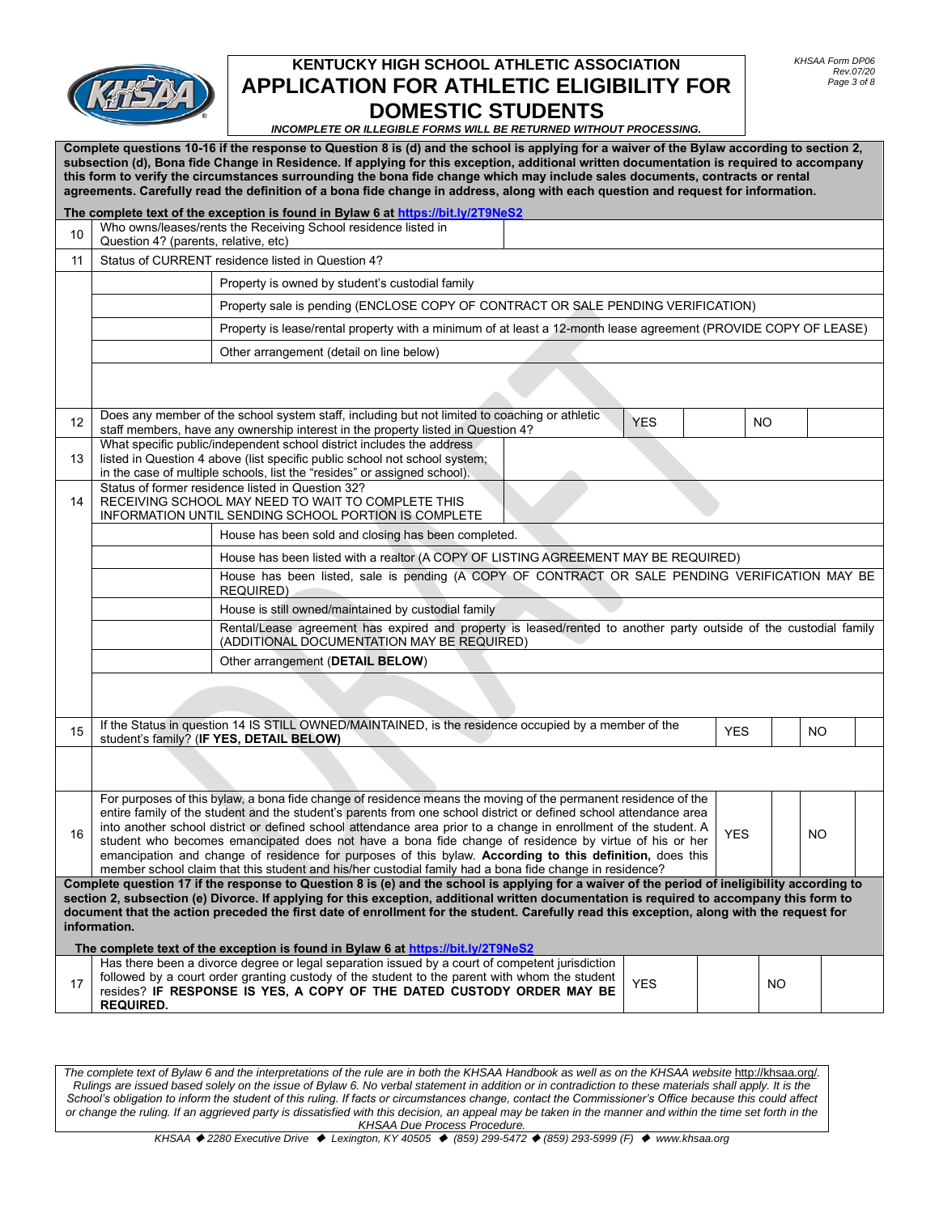

*INCOMPLETE OR ILLEGIBLE FORMS WILL BE RETURNED WITHOUT PROCESSING.*

**Complete questions 10-16 if the response to Question 8 is (d) and the school is applying for a waiver of the Bylaw according to section 2, subsection (d), Bona fide Change in Residence. If applying for this exception, additional written documentation is required to accompany this form to verify the circumstances surrounding the bona fide change which may include sales documents, contracts or rental agreements. Carefully read the definition of a bona fide change in address, along with each question and request for information.** 

|                   |                                                                                                                                                                                                                                                                                                                                                                                                                                                         | The complete text of the exception is found in Bylaw 6 at https://bit.ly/2T9NeS2                                                                                                                                                                                                                                                                                                                                                                                                                                                                                                                                                                                                        |            |            |           |     |  |
|-------------------|---------------------------------------------------------------------------------------------------------------------------------------------------------------------------------------------------------------------------------------------------------------------------------------------------------------------------------------------------------------------------------------------------------------------------------------------------------|-----------------------------------------------------------------------------------------------------------------------------------------------------------------------------------------------------------------------------------------------------------------------------------------------------------------------------------------------------------------------------------------------------------------------------------------------------------------------------------------------------------------------------------------------------------------------------------------------------------------------------------------------------------------------------------------|------------|------------|-----------|-----|--|
| 10                | Who owns/leases/rents the Receiving School residence listed in<br>Question 4? (parents, relative, etc)                                                                                                                                                                                                                                                                                                                                                  |                                                                                                                                                                                                                                                                                                                                                                                                                                                                                                                                                                                                                                                                                         |            |            |           |     |  |
| 11                | Status of CURRENT residence listed in Question 4?                                                                                                                                                                                                                                                                                                                                                                                                       |                                                                                                                                                                                                                                                                                                                                                                                                                                                                                                                                                                                                                                                                                         |            |            |           |     |  |
|                   |                                                                                                                                                                                                                                                                                                                                                                                                                                                         | Property is owned by student's custodial family                                                                                                                                                                                                                                                                                                                                                                                                                                                                                                                                                                                                                                         |            |            |           |     |  |
|                   |                                                                                                                                                                                                                                                                                                                                                                                                                                                         | Property sale is pending (ENCLOSE COPY OF CONTRACT OR SALE PENDING VERIFICATION)                                                                                                                                                                                                                                                                                                                                                                                                                                                                                                                                                                                                        |            |            |           |     |  |
|                   |                                                                                                                                                                                                                                                                                                                                                                                                                                                         | Property is lease/rental property with a minimum of at least a 12-month lease agreement (PROVIDE COPY OF LEASE)                                                                                                                                                                                                                                                                                                                                                                                                                                                                                                                                                                         |            |            |           |     |  |
|                   |                                                                                                                                                                                                                                                                                                                                                                                                                                                         | Other arrangement (detail on line below)                                                                                                                                                                                                                                                                                                                                                                                                                                                                                                                                                                                                                                                |            |            |           |     |  |
|                   |                                                                                                                                                                                                                                                                                                                                                                                                                                                         |                                                                                                                                                                                                                                                                                                                                                                                                                                                                                                                                                                                                                                                                                         |            |            |           |     |  |
| $12 \overline{ }$ |                                                                                                                                                                                                                                                                                                                                                                                                                                                         | Does any member of the school system staff, including but not limited to coaching or athletic<br>staff members, have any ownership interest in the property listed in Question 4?                                                                                                                                                                                                                                                                                                                                                                                                                                                                                                       | <b>YES</b> |            | NO.       |     |  |
| 13                |                                                                                                                                                                                                                                                                                                                                                                                                                                                         | What specific public/independent school district includes the address<br>listed in Question 4 above (list specific public school not school system;<br>in the case of multiple schools, list the "resides" or assigned school).                                                                                                                                                                                                                                                                                                                                                                                                                                                         |            |            |           |     |  |
| 14                |                                                                                                                                                                                                                                                                                                                                                                                                                                                         | Status of former residence listed in Question 32?<br>RECEIVING SCHOOL MAY NEED TO WAIT TO COMPLETE THIS<br>INFORMATION UNTIL SENDING SCHOOL PORTION IS COMPLETE                                                                                                                                                                                                                                                                                                                                                                                                                                                                                                                         |            |            |           |     |  |
|                   |                                                                                                                                                                                                                                                                                                                                                                                                                                                         | House has been sold and closing has been completed.                                                                                                                                                                                                                                                                                                                                                                                                                                                                                                                                                                                                                                     |            |            |           |     |  |
|                   |                                                                                                                                                                                                                                                                                                                                                                                                                                                         | House has been listed with a realtor (A COPY OF LISTING AGREEMENT MAY BE REQUIRED)                                                                                                                                                                                                                                                                                                                                                                                                                                                                                                                                                                                                      |            |            |           |     |  |
|                   | House has been listed, sale is pending (A COPY OF CONTRACT OR SALE PENDING VERIFICATION MAY BE<br><b>REQUIRED)</b>                                                                                                                                                                                                                                                                                                                                      |                                                                                                                                                                                                                                                                                                                                                                                                                                                                                                                                                                                                                                                                                         |            |            |           |     |  |
|                   |                                                                                                                                                                                                                                                                                                                                                                                                                                                         | House is still owned/maintained by custodial family                                                                                                                                                                                                                                                                                                                                                                                                                                                                                                                                                                                                                                     |            |            |           |     |  |
|                   | Rental/Lease agreement has expired and property is leased/rented to another party outside of the custodial family<br>(ADDITIONAL DOCUMENTATION MAY BE REQUIRED)                                                                                                                                                                                                                                                                                         |                                                                                                                                                                                                                                                                                                                                                                                                                                                                                                                                                                                                                                                                                         |            |            |           |     |  |
|                   | Other arrangement (DETAIL BELOW)                                                                                                                                                                                                                                                                                                                                                                                                                        |                                                                                                                                                                                                                                                                                                                                                                                                                                                                                                                                                                                                                                                                                         |            |            |           |     |  |
|                   |                                                                                                                                                                                                                                                                                                                                                                                                                                                         |                                                                                                                                                                                                                                                                                                                                                                                                                                                                                                                                                                                                                                                                                         |            |            |           |     |  |
| 15                |                                                                                                                                                                                                                                                                                                                                                                                                                                                         | If the Status in question 14 IS STILL OWNED/MAINTAINED, is the residence occupied by a member of the<br>student's family? (IF YES, DETAIL BELOW)                                                                                                                                                                                                                                                                                                                                                                                                                                                                                                                                        |            | <b>YES</b> |           | NO. |  |
|                   |                                                                                                                                                                                                                                                                                                                                                                                                                                                         |                                                                                                                                                                                                                                                                                                                                                                                                                                                                                                                                                                                                                                                                                         |            |            |           |     |  |
| 16                |                                                                                                                                                                                                                                                                                                                                                                                                                                                         | For purposes of this bylaw, a bona fide change of residence means the moving of the permanent residence of the<br>entire family of the student and the student's parents from one school district or defined school attendance area<br>into another school district or defined school attendance area prior to a change in enrollment of the student. A<br>student who becomes emancipated does not have a bona fide change of residence by virtue of his or her<br>emancipation and change of residence for purposes of this bylaw. According to this definition, does this<br>member school claim that this student and his/her custodial family had a bona fide change in residence? |            | <b>YES</b> |           | NO. |  |
|                   | Complete question 17 if the response to Question 8 is (e) and the school is applying for a waiver of the period of ineligibility according to<br>section 2, subsection (e) Divorce. If applying for this exception, additional written documentation is required to accompany this form to<br>document that the action preceded the first date of enrollment for the student. Carefully read this exception, along with the request for<br>information. |                                                                                                                                                                                                                                                                                                                                                                                                                                                                                                                                                                                                                                                                                         |            |            |           |     |  |
|                   |                                                                                                                                                                                                                                                                                                                                                                                                                                                         | The complete text of the exception is found in Bylaw 6 at https://bit.ly/2T9NeS2                                                                                                                                                                                                                                                                                                                                                                                                                                                                                                                                                                                                        |            |            |           |     |  |
| 17                | <b>REQUIRED.</b>                                                                                                                                                                                                                                                                                                                                                                                                                                        | Has there been a divorce degree or legal separation issued by a court of competent jurisdiction<br>followed by a court order granting custody of the student to the parent with whom the student<br>resides? IF RESPONSE IS YES, A COPY OF THE DATED CUSTODY ORDER MAY BE                                                                                                                                                                                                                                                                                                                                                                                                               | <b>YES</b> |            | <b>NO</b> |     |  |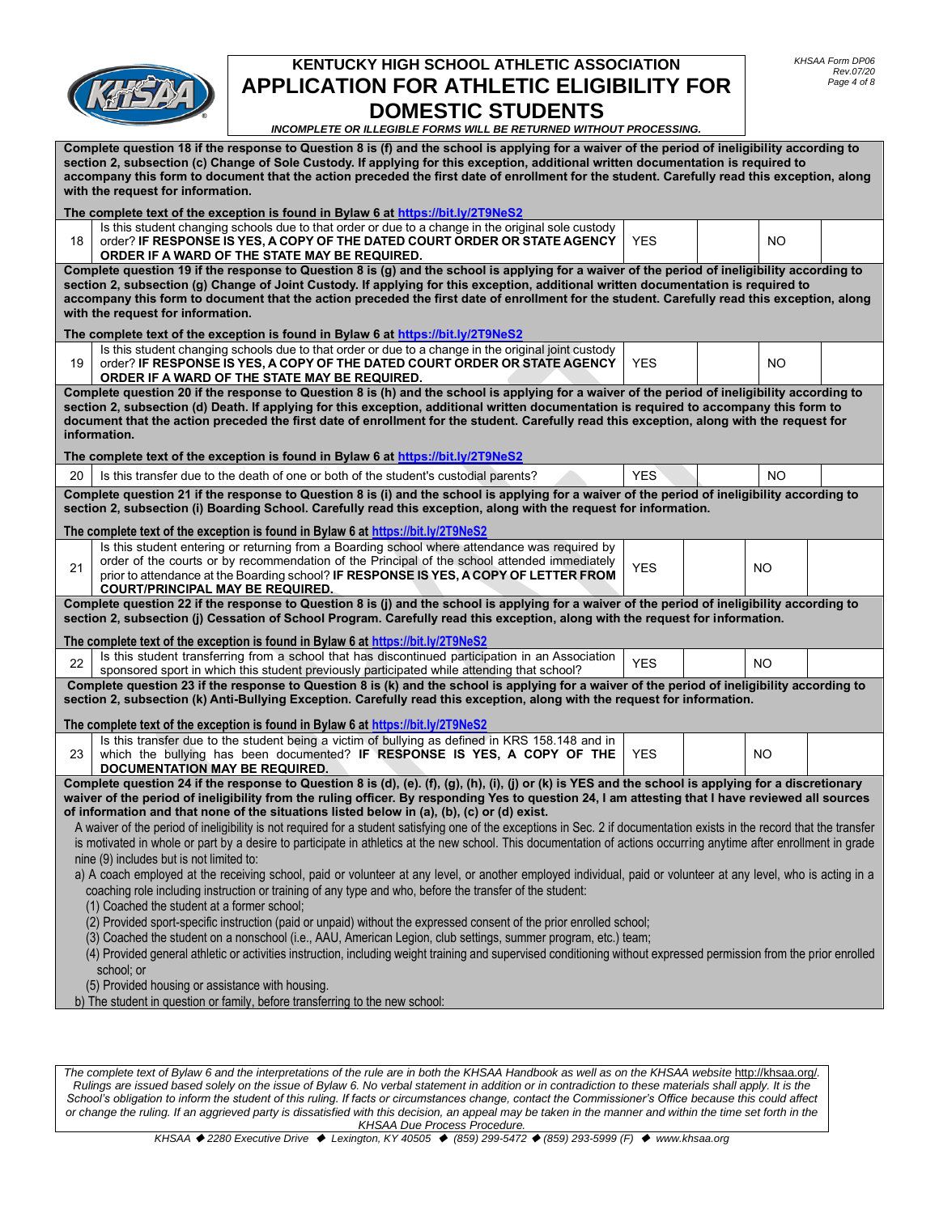

*INCOMPLETE OR ILLEGIBLE FORMS WILL BE RETURNED WITHOUT PROCESSING.*

| Complete question 18 if the response to Question 8 is (f) and the school is applying for a waiver of the period of ineligibility according to<br>section 2, subsection (c) Change of Sole Custody. If applying for this exception, additional written documentation is required to<br>accompany this form to document that the action preceded the first date of enrollment for the student. Carefully read this exception, along<br>with the request for information. |                                                                                                                                                                                                                                                                                |            |  |           |  |
|------------------------------------------------------------------------------------------------------------------------------------------------------------------------------------------------------------------------------------------------------------------------------------------------------------------------------------------------------------------------------------------------------------------------------------------------------------------------|--------------------------------------------------------------------------------------------------------------------------------------------------------------------------------------------------------------------------------------------------------------------------------|------------|--|-----------|--|
|                                                                                                                                                                                                                                                                                                                                                                                                                                                                        | The complete text of the exception is found in Bylaw 6 at https://bit.ly/2T9NeS2                                                                                                                                                                                               |            |  |           |  |
| 18                                                                                                                                                                                                                                                                                                                                                                                                                                                                     | Is this student changing schools due to that order or due to a change in the original sole custody<br>order? IF RESPONSE IS YES, A COPY OF THE DATED COURT ORDER OR STATE AGENCY<br>ORDER IF A WARD OF THE STATE MAY BE REQUIRED.                                              | <b>YES</b> |  | NO.       |  |
|                                                                                                                                                                                                                                                                                                                                                                                                                                                                        | Complete question 19 if the response to Question 8 is (g) and the school is applying for a waiver of the period of ineligibility according to                                                                                                                                  |            |  |           |  |
|                                                                                                                                                                                                                                                                                                                                                                                                                                                                        | section 2, subsection (g) Change of Joint Custody. If applying for this exception, additional written documentation is required to                                                                                                                                             |            |  |           |  |
|                                                                                                                                                                                                                                                                                                                                                                                                                                                                        | accompany this form to document that the action preceded the first date of enrollment for the student. Carefully read this exception, along                                                                                                                                    |            |  |           |  |
|                                                                                                                                                                                                                                                                                                                                                                                                                                                                        | with the request for information.                                                                                                                                                                                                                                              |            |  |           |  |
|                                                                                                                                                                                                                                                                                                                                                                                                                                                                        | The complete text of the exception is found in Bylaw 6 at https://bit.ly/2T9NeS2                                                                                                                                                                                               |            |  |           |  |
|                                                                                                                                                                                                                                                                                                                                                                                                                                                                        | Is this student changing schools due to that order or due to a change in the original joint custody                                                                                                                                                                            |            |  |           |  |
| 19                                                                                                                                                                                                                                                                                                                                                                                                                                                                     | order? IF RESPONSE IS YES, A COPY OF THE DATED COURT ORDER OR STATE AGENCY<br>ORDER IF A WARD OF THE STATE MAY BE REQUIRED.                                                                                                                                                    | <b>YES</b> |  | NO.       |  |
|                                                                                                                                                                                                                                                                                                                                                                                                                                                                        | Complete question 20 if the response to Question 8 is (h) and the school is applying for a waiver of the period of ineligibility according to                                                                                                                                  |            |  |           |  |
|                                                                                                                                                                                                                                                                                                                                                                                                                                                                        | section 2, subsection (d) Death. If applying for this exception, additional written documentation is required to accompany this form to                                                                                                                                        |            |  |           |  |
|                                                                                                                                                                                                                                                                                                                                                                                                                                                                        | document that the action preceded the first date of enrollment for the student. Carefully read this exception, along with the request for                                                                                                                                      |            |  |           |  |
|                                                                                                                                                                                                                                                                                                                                                                                                                                                                        | information.                                                                                                                                                                                                                                                                   |            |  |           |  |
|                                                                                                                                                                                                                                                                                                                                                                                                                                                                        | The complete text of the exception is found in Bylaw 6 at <u>https://bit.ly/2T9NeS2</u>                                                                                                                                                                                        |            |  |           |  |
| 20                                                                                                                                                                                                                                                                                                                                                                                                                                                                     | Is this transfer due to the death of one or both of the student's custodial parents?                                                                                                                                                                                           | <b>YES</b> |  | <b>NO</b> |  |
|                                                                                                                                                                                                                                                                                                                                                                                                                                                                        |                                                                                                                                                                                                                                                                                |            |  |           |  |
|                                                                                                                                                                                                                                                                                                                                                                                                                                                                        | Complete question 21 if the response to Question 8 is (i) and the school is applying for a waiver of the period of ineligibility according to<br>section 2, subsection (i) Boarding School. Carefully read this exception, along with the request for information.             |            |  |           |  |
|                                                                                                                                                                                                                                                                                                                                                                                                                                                                        | The complete text of the exception is found in Bylaw 6 at https://bit.ly/2T9NeS2                                                                                                                                                                                               |            |  |           |  |
|                                                                                                                                                                                                                                                                                                                                                                                                                                                                        | Is this student entering or returning from a Boarding school where attendance was required by                                                                                                                                                                                  |            |  |           |  |
| 21                                                                                                                                                                                                                                                                                                                                                                                                                                                                     | order of the courts or by recommendation of the Principal of the school attended immediately                                                                                                                                                                                   | <b>YES</b> |  | NO        |  |
|                                                                                                                                                                                                                                                                                                                                                                                                                                                                        | prior to attendance at the Boarding school? IF RESPONSE IS YES, A COPY OF LETTER FROM                                                                                                                                                                                          |            |  |           |  |
|                                                                                                                                                                                                                                                                                                                                                                                                                                                                        | <b>COURT/PRINCIPAL MAY BE REQUIRED.</b>                                                                                                                                                                                                                                        |            |  |           |  |
|                                                                                                                                                                                                                                                                                                                                                                                                                                                                        | Complete question 22 if the response to Question 8 is (j) and the school is applying for a waiver of the period of ineligibility according to<br>section 2, subsection (j) Cessation of School Program. Carefully read this exception, along with the request for information. |            |  |           |  |
|                                                                                                                                                                                                                                                                                                                                                                                                                                                                        | The complete text of the exception is found in Bylaw 6 at https://bit.ly/2T9NeS2                                                                                                                                                                                               |            |  |           |  |
| 22                                                                                                                                                                                                                                                                                                                                                                                                                                                                     | Is this student transferring from a school that has discontinued participation in an Association                                                                                                                                                                               | <b>YES</b> |  | NO.       |  |
|                                                                                                                                                                                                                                                                                                                                                                                                                                                                        | sponsored sport in which this student previously participated while attending that school?                                                                                                                                                                                     |            |  |           |  |
|                                                                                                                                                                                                                                                                                                                                                                                                                                                                        | Complete question 23 if the response to Question 8 is (k) and the school is applying for a waiver of the period of ineligibility according to                                                                                                                                  |            |  |           |  |
|                                                                                                                                                                                                                                                                                                                                                                                                                                                                        | section 2, subsection (k) Anti-Bullying Exception. Carefully read this exception, along with the request for information.                                                                                                                                                      |            |  |           |  |
|                                                                                                                                                                                                                                                                                                                                                                                                                                                                        | The complete text of the exception is found in Bylaw 6 at https://bit.ly/2T9NeS2                                                                                                                                                                                               |            |  |           |  |
|                                                                                                                                                                                                                                                                                                                                                                                                                                                                        | Is this transfer due to the student being a victim of bullying as defined in KRS 158.148 and in                                                                                                                                                                                |            |  |           |  |
| 23                                                                                                                                                                                                                                                                                                                                                                                                                                                                     | which the bullying has been documented? IF RESPONSE IS YES, A COPY OF THE                                                                                                                                                                                                      | <b>YES</b> |  | NO.       |  |
|                                                                                                                                                                                                                                                                                                                                                                                                                                                                        | DOCUMENTATION MAY BE REQUIRED.                                                                                                                                                                                                                                                 |            |  |           |  |
|                                                                                                                                                                                                                                                                                                                                                                                                                                                                        | Complete question 24 if the response to Question 8 is (d), (e). (f), (g), (h), (i), (j) or (k) is YES and the school is applying for a discretionary                                                                                                                           |            |  |           |  |
|                                                                                                                                                                                                                                                                                                                                                                                                                                                                        | waiver of the period of ineligibility from the ruling officer. By responding Yes to question 24, I am attesting that I have reviewed all sources                                                                                                                               |            |  |           |  |
|                                                                                                                                                                                                                                                                                                                                                                                                                                                                        | of information and that none of the situations listed below in (a), (b), (c) or (d) exist.                                                                                                                                                                                     |            |  |           |  |
|                                                                                                                                                                                                                                                                                                                                                                                                                                                                        | A waiver of the period of ineligibility is not required for a student satisfying one of the exceptions in Sec. 2 if documentation exists in the record that the transfer                                                                                                       |            |  |           |  |
|                                                                                                                                                                                                                                                                                                                                                                                                                                                                        | is motivated in whole or part by a desire to participate in athletics at the new school. This documentation of actions occurring anytime after enrollment in grade                                                                                                             |            |  |           |  |
|                                                                                                                                                                                                                                                                                                                                                                                                                                                                        | nine (9) includes but is not limited to:                                                                                                                                                                                                                                       |            |  |           |  |
|                                                                                                                                                                                                                                                                                                                                                                                                                                                                        | a) A coach employed at the receiving school, paid or volunteer at any level, or another employed individual, paid or volunteer at any level, who is acting in a                                                                                                                |            |  |           |  |
|                                                                                                                                                                                                                                                                                                                                                                                                                                                                        | coaching role including instruction or training of any type and who, before the transfer of the student:                                                                                                                                                                       |            |  |           |  |
|                                                                                                                                                                                                                                                                                                                                                                                                                                                                        | (1) Coached the student at a former school;                                                                                                                                                                                                                                    |            |  |           |  |
|                                                                                                                                                                                                                                                                                                                                                                                                                                                                        | (2) Provided sport-specific instruction (paid or unpaid) without the expressed consent of the prior enrolled school;                                                                                                                                                           |            |  |           |  |
|                                                                                                                                                                                                                                                                                                                                                                                                                                                                        | (3) Coached the student on a nonschool (i.e., AAU, American Legion, club settings, summer program, etc.) team;                                                                                                                                                                 |            |  |           |  |
|                                                                                                                                                                                                                                                                                                                                                                                                                                                                        | (4) Provided general athletic or activities instruction, including weight training and supervised conditioning without expressed permission from the prior enrolled                                                                                                            |            |  |           |  |
|                                                                                                                                                                                                                                                                                                                                                                                                                                                                        | school; or                                                                                                                                                                                                                                                                     |            |  |           |  |
|                                                                                                                                                                                                                                                                                                                                                                                                                                                                        | (5) Provided housing or assistance with housing.                                                                                                                                                                                                                               |            |  |           |  |
|                                                                                                                                                                                                                                                                                                                                                                                                                                                                        | b) The student in question or family, before transferring to the new school:                                                                                                                                                                                                   |            |  |           |  |
|                                                                                                                                                                                                                                                                                                                                                                                                                                                                        |                                                                                                                                                                                                                                                                                |            |  |           |  |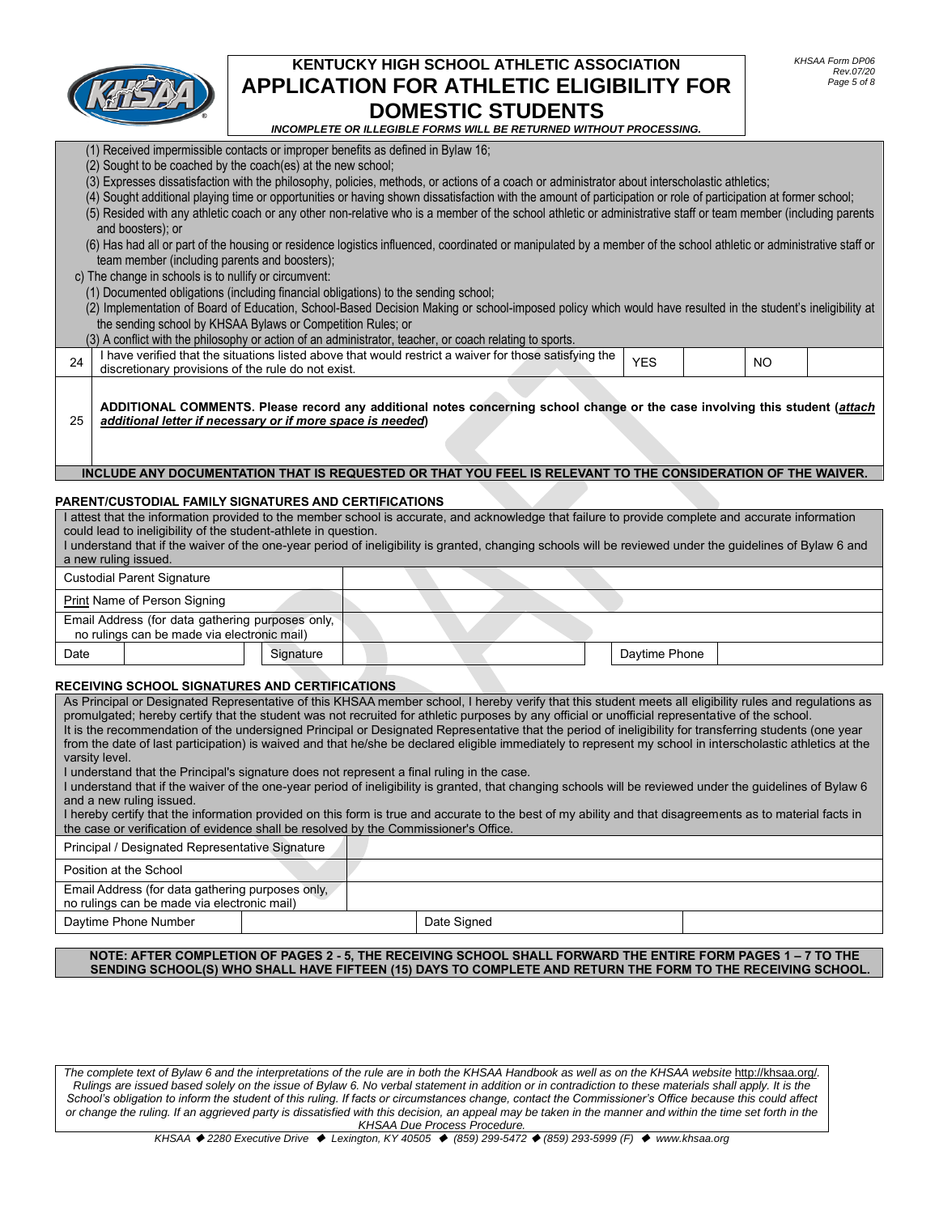

(1) Received impermissible contacts or improper benefits as defined in Bylaw 16;

(2) Sought to be coached by the coach(es) at the new school;

## **KENTUCKY HIGH SCHOOL ATHLETIC ASSOCIATION APPLICATION FOR ATHLETIC ELIGIBILITY FOR DOMESTIC STUDENTS**

*INCOMPLETE OR ILLEGIBLE FORMS WILL BE RETURNED WITHOUT PROCESSING.*

|                                                                                                                                                                                                                                                                                                                                                                                                                                                                                                                                                                                                                                                                                                                                                                                                                                                                                                                                                                                                                                                                                                                                                                                                     | and boosters): or<br>team member (including parents and boosters);<br>c) The change in schools is to nullify or circumvent:<br>(1) Documented obligations (including financial obligations) to the sending school;<br>the sending school by KHSAA Bylaws or Competition Rules; or |           |  | (3) Expresses dissatisfaction with the philosophy, policies, methods, or actions of a coach or administrator about interscholastic athletics;<br>(4) Sought additional playing time or opportunities or having shown dissatisfaction with the amount of participation or role of participation at former school;<br>(5) Resided with any athletic coach or any other non-relative who is a member of the school athletic or administrative staff or team member (including parents<br>(6) Has had all or part of the housing or residence logistics influenced, coordinated or manipulated by a member of the school athletic or administrative staff or<br>(2) Implementation of Board of Education, School-Based Decision Making or school-imposed policy which would have resulted in the student's ineligibility at<br>(3) A conflict with the philosophy or action of an administrator, teacher, or coach relating to sports. |               |           |  |
|-----------------------------------------------------------------------------------------------------------------------------------------------------------------------------------------------------------------------------------------------------------------------------------------------------------------------------------------------------------------------------------------------------------------------------------------------------------------------------------------------------------------------------------------------------------------------------------------------------------------------------------------------------------------------------------------------------------------------------------------------------------------------------------------------------------------------------------------------------------------------------------------------------------------------------------------------------------------------------------------------------------------------------------------------------------------------------------------------------------------------------------------------------------------------------------------------------|-----------------------------------------------------------------------------------------------------------------------------------------------------------------------------------------------------------------------------------------------------------------------------------|-----------|--|------------------------------------------------------------------------------------------------------------------------------------------------------------------------------------------------------------------------------------------------------------------------------------------------------------------------------------------------------------------------------------------------------------------------------------------------------------------------------------------------------------------------------------------------------------------------------------------------------------------------------------------------------------------------------------------------------------------------------------------------------------------------------------------------------------------------------------------------------------------------------------------------------------------------------------|---------------|-----------|--|
| 24                                                                                                                                                                                                                                                                                                                                                                                                                                                                                                                                                                                                                                                                                                                                                                                                                                                                                                                                                                                                                                                                                                                                                                                                  | discretionary provisions of the rule do not exist.                                                                                                                                                                                                                                |           |  | I have verified that the situations listed above that would restrict a waiver for those satisfying the                                                                                                                                                                                                                                                                                                                                                                                                                                                                                                                                                                                                                                                                                                                                                                                                                             | <b>YES</b>    | <b>NO</b> |  |
| 25                                                                                                                                                                                                                                                                                                                                                                                                                                                                                                                                                                                                                                                                                                                                                                                                                                                                                                                                                                                                                                                                                                                                                                                                  | additional letter if necessary or if more space is needed)                                                                                                                                                                                                                        |           |  | ADDITIONAL COMMENTS. Please record any additional notes concerning school change or the case involving this student (attach                                                                                                                                                                                                                                                                                                                                                                                                                                                                                                                                                                                                                                                                                                                                                                                                        |               |           |  |
|                                                                                                                                                                                                                                                                                                                                                                                                                                                                                                                                                                                                                                                                                                                                                                                                                                                                                                                                                                                                                                                                                                                                                                                                     |                                                                                                                                                                                                                                                                                   |           |  | INCLUDE ANY DOCUMENTATION THAT IS REQUESTED OR THAT YOU FEEL IS RELEVANT TO THE CONSIDERATION OF THE WAIVER.                                                                                                                                                                                                                                                                                                                                                                                                                                                                                                                                                                                                                                                                                                                                                                                                                       |               |           |  |
|                                                                                                                                                                                                                                                                                                                                                                                                                                                                                                                                                                                                                                                                                                                                                                                                                                                                                                                                                                                                                                                                                                                                                                                                     | PARENT/CUSTODIAL FAMILY SIGNATURES AND CERTIFICATIONS                                                                                                                                                                                                                             |           |  |                                                                                                                                                                                                                                                                                                                                                                                                                                                                                                                                                                                                                                                                                                                                                                                                                                                                                                                                    |               |           |  |
|                                                                                                                                                                                                                                                                                                                                                                                                                                                                                                                                                                                                                                                                                                                                                                                                                                                                                                                                                                                                                                                                                                                                                                                                     |                                                                                                                                                                                                                                                                                   |           |  | I attest that the information provided to the member school is accurate, and acknowledge that failure to provide complete and accurate information                                                                                                                                                                                                                                                                                                                                                                                                                                                                                                                                                                                                                                                                                                                                                                                 |               |           |  |
|                                                                                                                                                                                                                                                                                                                                                                                                                                                                                                                                                                                                                                                                                                                                                                                                                                                                                                                                                                                                                                                                                                                                                                                                     | could lead to ineligibility of the student-athlete in question.                                                                                                                                                                                                                   |           |  | I understand that if the waiver of the one-year period of ineligibility is granted, changing schools will be reviewed under the guidelines of Bylaw 6 and                                                                                                                                                                                                                                                                                                                                                                                                                                                                                                                                                                                                                                                                                                                                                                          |               |           |  |
|                                                                                                                                                                                                                                                                                                                                                                                                                                                                                                                                                                                                                                                                                                                                                                                                                                                                                                                                                                                                                                                                                                                                                                                                     | a new ruling issued.                                                                                                                                                                                                                                                              |           |  |                                                                                                                                                                                                                                                                                                                                                                                                                                                                                                                                                                                                                                                                                                                                                                                                                                                                                                                                    |               |           |  |
|                                                                                                                                                                                                                                                                                                                                                                                                                                                                                                                                                                                                                                                                                                                                                                                                                                                                                                                                                                                                                                                                                                                                                                                                     | <b>Custodial Parent Signature</b>                                                                                                                                                                                                                                                 |           |  |                                                                                                                                                                                                                                                                                                                                                                                                                                                                                                                                                                                                                                                                                                                                                                                                                                                                                                                                    |               |           |  |
|                                                                                                                                                                                                                                                                                                                                                                                                                                                                                                                                                                                                                                                                                                                                                                                                                                                                                                                                                                                                                                                                                                                                                                                                     | Print Name of Person Signing                                                                                                                                                                                                                                                      |           |  |                                                                                                                                                                                                                                                                                                                                                                                                                                                                                                                                                                                                                                                                                                                                                                                                                                                                                                                                    |               |           |  |
|                                                                                                                                                                                                                                                                                                                                                                                                                                                                                                                                                                                                                                                                                                                                                                                                                                                                                                                                                                                                                                                                                                                                                                                                     | Email Address (for data gathering purposes only,                                                                                                                                                                                                                                  |           |  |                                                                                                                                                                                                                                                                                                                                                                                                                                                                                                                                                                                                                                                                                                                                                                                                                                                                                                                                    |               |           |  |
|                                                                                                                                                                                                                                                                                                                                                                                                                                                                                                                                                                                                                                                                                                                                                                                                                                                                                                                                                                                                                                                                                                                                                                                                     | no rulings can be made via electronic mail)                                                                                                                                                                                                                                       |           |  |                                                                                                                                                                                                                                                                                                                                                                                                                                                                                                                                                                                                                                                                                                                                                                                                                                                                                                                                    |               |           |  |
| Date                                                                                                                                                                                                                                                                                                                                                                                                                                                                                                                                                                                                                                                                                                                                                                                                                                                                                                                                                                                                                                                                                                                                                                                                |                                                                                                                                                                                                                                                                                   | Signature |  |                                                                                                                                                                                                                                                                                                                                                                                                                                                                                                                                                                                                                                                                                                                                                                                                                                                                                                                                    | Daytime Phone |           |  |
|                                                                                                                                                                                                                                                                                                                                                                                                                                                                                                                                                                                                                                                                                                                                                                                                                                                                                                                                                                                                                                                                                                                                                                                                     | RECEIVING SCHOOL SIGNATURES AND CERTIFICATIONS                                                                                                                                                                                                                                    |           |  |                                                                                                                                                                                                                                                                                                                                                                                                                                                                                                                                                                                                                                                                                                                                                                                                                                                                                                                                    |               |           |  |
| As Principal or Designated Representative of this KHSAA member school, I hereby verify that this student meets all eligibility rules and regulations as<br>promulgated; hereby certify that the student was not recruited for athletic purposes by any official or unofficial representative of the school.<br>It is the recommendation of the undersigned Principal or Designated Representative that the period of ineligibility for transferring students (one year<br>from the date of last participation) is waived and that he/she be declared eligible immediately to represent my school in interscholastic athletics at the<br>varsity level.<br>I understand that the Principal's signature does not represent a final ruling in the case.<br>I understand that if the waiver of the one-year period of ineligibility is granted, that changing schools will be reviewed under the guidelines of Bylaw 6<br>and a new ruling issued.<br>I hereby certify that the information provided on this form is true and accurate to the best of my ability and that disagreements as to material facts in<br>the case or verification of evidence shall be resolved by the Commissioner's Office. |                                                                                                                                                                                                                                                                                   |           |  |                                                                                                                                                                                                                                                                                                                                                                                                                                                                                                                                                                                                                                                                                                                                                                                                                                                                                                                                    |               |           |  |
|                                                                                                                                                                                                                                                                                                                                                                                                                                                                                                                                                                                                                                                                                                                                                                                                                                                                                                                                                                                                                                                                                                                                                                                                     | Principal / Designated Representative Signature                                                                                                                                                                                                                                   |           |  |                                                                                                                                                                                                                                                                                                                                                                                                                                                                                                                                                                                                                                                                                                                                                                                                                                                                                                                                    |               |           |  |
|                                                                                                                                                                                                                                                                                                                                                                                                                                                                                                                                                                                                                                                                                                                                                                                                                                                                                                                                                                                                                                                                                                                                                                                                     | Position at the School                                                                                                                                                                                                                                                            |           |  |                                                                                                                                                                                                                                                                                                                                                                                                                                                                                                                                                                                                                                                                                                                                                                                                                                                                                                                                    |               |           |  |
|                                                                                                                                                                                                                                                                                                                                                                                                                                                                                                                                                                                                                                                                                                                                                                                                                                                                                                                                                                                                                                                                                                                                                                                                     | Email Address (for data gathering purposes only,<br>no rulings can be made via electronic mail)                                                                                                                                                                                   |           |  |                                                                                                                                                                                                                                                                                                                                                                                                                                                                                                                                                                                                                                                                                                                                                                                                                                                                                                                                    |               |           |  |
|                                                                                                                                                                                                                                                                                                                                                                                                                                                                                                                                                                                                                                                                                                                                                                                                                                                                                                                                                                                                                                                                                                                                                                                                     | Daytime Phone Number                                                                                                                                                                                                                                                              |           |  | Date Signed                                                                                                                                                                                                                                                                                                                                                                                                                                                                                                                                                                                                                                                                                                                                                                                                                                                                                                                        |               |           |  |
|                                                                                                                                                                                                                                                                                                                                                                                                                                                                                                                                                                                                                                                                                                                                                                                                                                                                                                                                                                                                                                                                                                                                                                                                     |                                                                                                                                                                                                                                                                                   |           |  |                                                                                                                                                                                                                                                                                                                                                                                                                                                                                                                                                                                                                                                                                                                                                                                                                                                                                                                                    |               |           |  |

**NOTE: AFTER COMPLETION OF PAGES 2 - 5, THE RECEIVING SCHOOL SHALL FORWARD THE ENTIRE FORM PAGES 1 – 7 TO THE SENDING SCHOOL(S) WHO SHALL HAVE FIFTEEN (15) DAYS TO COMPLETE AND RETURN THE FORM TO THE RECEIVING SCHOOL.**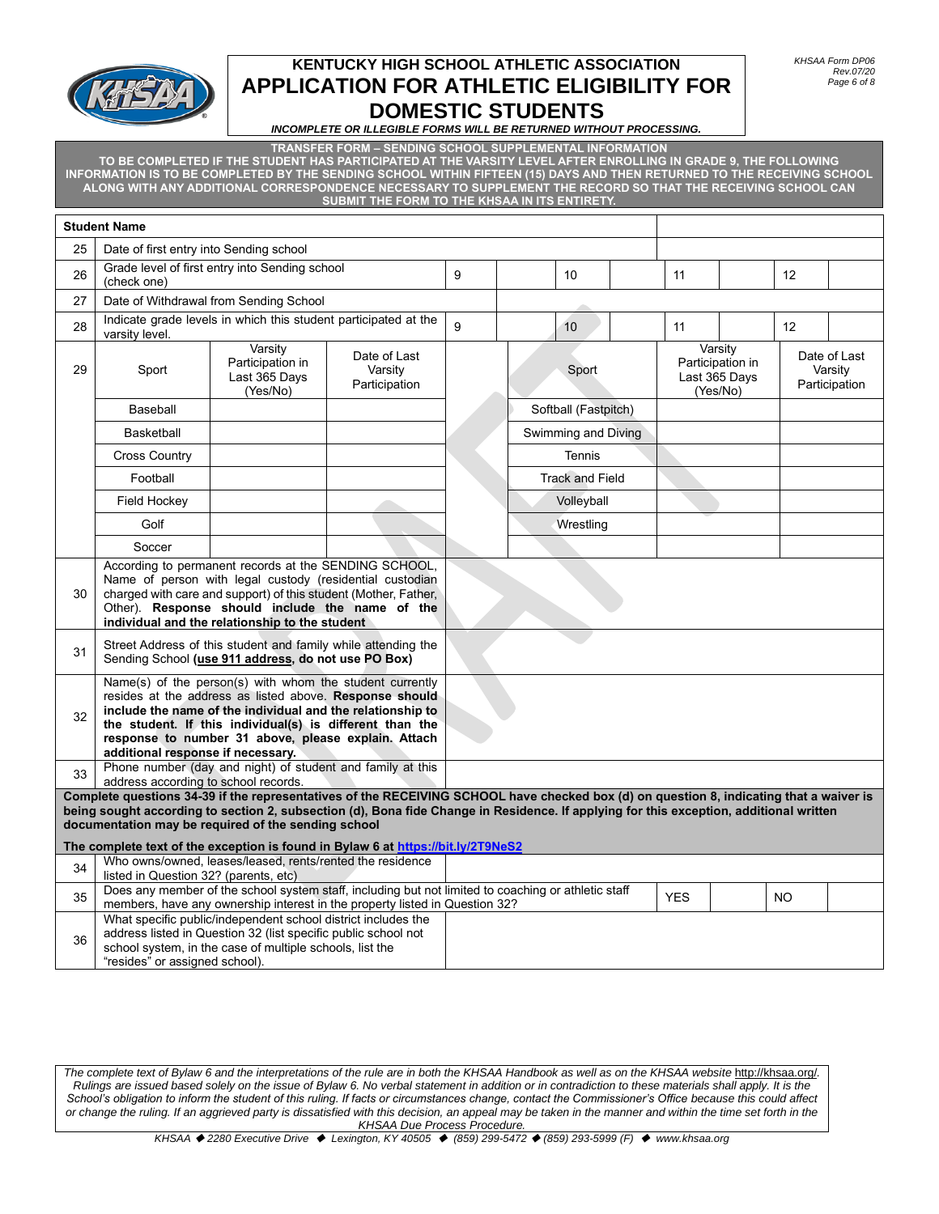

*INCOMPLETE OR ILLEGIBLE FORMS WILL BE RETURNED WITHOUT PROCESSING.*

**TRANSFER FORM – SENDING SCHOOL SUPPLEMENTAL INFORMATION**

**TO BE COMPLETED IF THE STUDENT HAS PARTICIPATED AT THE VARSITY LEVEL AFTER ENROLLING IN GRADE 9, THE FOLLOWING INFORMATION IS TO BE COMPLETED BY THE SENDING SCHOOL WITHIN FIFTEEN (15) DAYS AND THEN RETURNED TO THE RECEIVING SCHOOL ALONG WITH ANY ADDITIONAL CORRESPONDENCE NECESSARY TO SUPPLEMENT THE RECORD SO THAT THE RECEIVING SCHOOL CAN SUBMIT THE FORM TO THE KHSAA IN ITS ENTIRETY.**

|    | <b>Student Name</b>                                                                                                                                                                                                                                                                                                                       |                                                                                                     |                                          |       |                        |  |                                                          |  |     |                                          |
|----|-------------------------------------------------------------------------------------------------------------------------------------------------------------------------------------------------------------------------------------------------------------------------------------------------------------------------------------------|-----------------------------------------------------------------------------------------------------|------------------------------------------|-------|------------------------|--|----------------------------------------------------------|--|-----|------------------------------------------|
| 25 | Date of first entry into Sending school                                                                                                                                                                                                                                                                                                   |                                                                                                     |                                          |       |                        |  |                                                          |  |     |                                          |
| 26 | (check one)                                                                                                                                                                                                                                                                                                                               | Grade level of first entry into Sending school                                                      |                                          | 9     | 10                     |  | 11                                                       |  | 12  |                                          |
| 27 |                                                                                                                                                                                                                                                                                                                                           | Date of Withdrawal from Sending School                                                              |                                          |       |                        |  |                                                          |  |     |                                          |
| 28 | varsity level.                                                                                                                                                                                                                                                                                                                            | Indicate grade levels in which this student participated at the                                     |                                          | 9     | 10                     |  | 11                                                       |  | 12  |                                          |
| 29 | Sport                                                                                                                                                                                                                                                                                                                                     | Varsity<br>Participation in<br>Last 365 Days<br>(Yes/No)                                            | Date of Last<br>Varsity<br>Participation | Sport |                        |  | Varsity<br>Participation in<br>Last 365 Days<br>(Yes/No) |  |     | Date of Last<br>Varsity<br>Participation |
|    | Baseball                                                                                                                                                                                                                                                                                                                                  |                                                                                                     |                                          |       | Softball (Fastpitch)   |  |                                                          |  |     |                                          |
|    | <b>Basketball</b>                                                                                                                                                                                                                                                                                                                         |                                                                                                     |                                          |       | Swimming and Diving    |  |                                                          |  |     |                                          |
|    | <b>Cross Country</b>                                                                                                                                                                                                                                                                                                                      |                                                                                                     |                                          |       | <b>Tennis</b>          |  |                                                          |  |     |                                          |
|    | Football                                                                                                                                                                                                                                                                                                                                  |                                                                                                     |                                          |       | <b>Track and Field</b> |  |                                                          |  |     |                                          |
|    | Field Hockey                                                                                                                                                                                                                                                                                                                              |                                                                                                     |                                          |       | Volleyball             |  |                                                          |  |     |                                          |
|    | Golf                                                                                                                                                                                                                                                                                                                                      |                                                                                                     |                                          |       | Wrestling              |  |                                                          |  |     |                                          |
|    | Soccer                                                                                                                                                                                                                                                                                                                                    |                                                                                                     |                                          |       |                        |  |                                                          |  |     |                                          |
| 30 | According to permanent records at the SENDING SCHOOL,<br>Name of person with legal custody (residential custodian<br>charged with care and support) of this student (Mother, Father,<br>Other). Response should include the name of the<br>individual and the relationship to the student                                                 |                                                                                                     |                                          |       |                        |  |                                                          |  |     |                                          |
| 31 | Street Address of this student and family while attending the<br>Sending School (use 911 address, do not use PO Box)                                                                                                                                                                                                                      |                                                                                                     |                                          |       |                        |  |                                                          |  |     |                                          |
| 32 | Name(s) of the person(s) with whom the student currently<br>resides at the address as listed above. Response should<br>include the name of the individual and the relationship to<br>the student. If this individual(s) is different than the<br>response to number 31 above, please explain. Attach<br>additional response if necessary. |                                                                                                     |                                          |       |                        |  |                                                          |  |     |                                          |
| 33 | address according to school records.                                                                                                                                                                                                                                                                                                      | Phone number (day and night) of student and family at this                                          |                                          |       |                        |  |                                                          |  |     |                                          |
|    | Complete questions 34-39 if the representatives of the RECEIVING SCHOOL have checked box (d) on question 8, indicating that a waiver is<br>being sought according to section 2, subsection (d), Bona fide Change in Residence. If applying for this exception, additional written<br>documentation may be required of the sending school  |                                                                                                     |                                          |       |                        |  |                                                          |  |     |                                          |
|    |                                                                                                                                                                                                                                                                                                                                           | The complete text of the exception is found in Bylaw 6 at https://bit.ly/2T9NeS2                    |                                          |       |                        |  |                                                          |  |     |                                          |
| 34 | listed in Question 32? (parents, etc)                                                                                                                                                                                                                                                                                                     | Who owns/owned, leases/leased, rents/rented the residence                                           |                                          |       |                        |  |                                                          |  |     |                                          |
| 35 |                                                                                                                                                                                                                                                                                                                                           | Does any member of the school system staff, including but not limited to coaching or athletic staff |                                          |       |                        |  | <b>YES</b>                                               |  | NO. |                                          |
| 36 | members, have any ownership interest in the property listed in Question 32?<br>What specific public/independent school district includes the<br>address listed in Question 32 (list specific public school not<br>school system, in the case of multiple schools, list the<br>"resides" or assigned school).                              |                                                                                                     |                                          |       |                        |  |                                                          |  |     |                                          |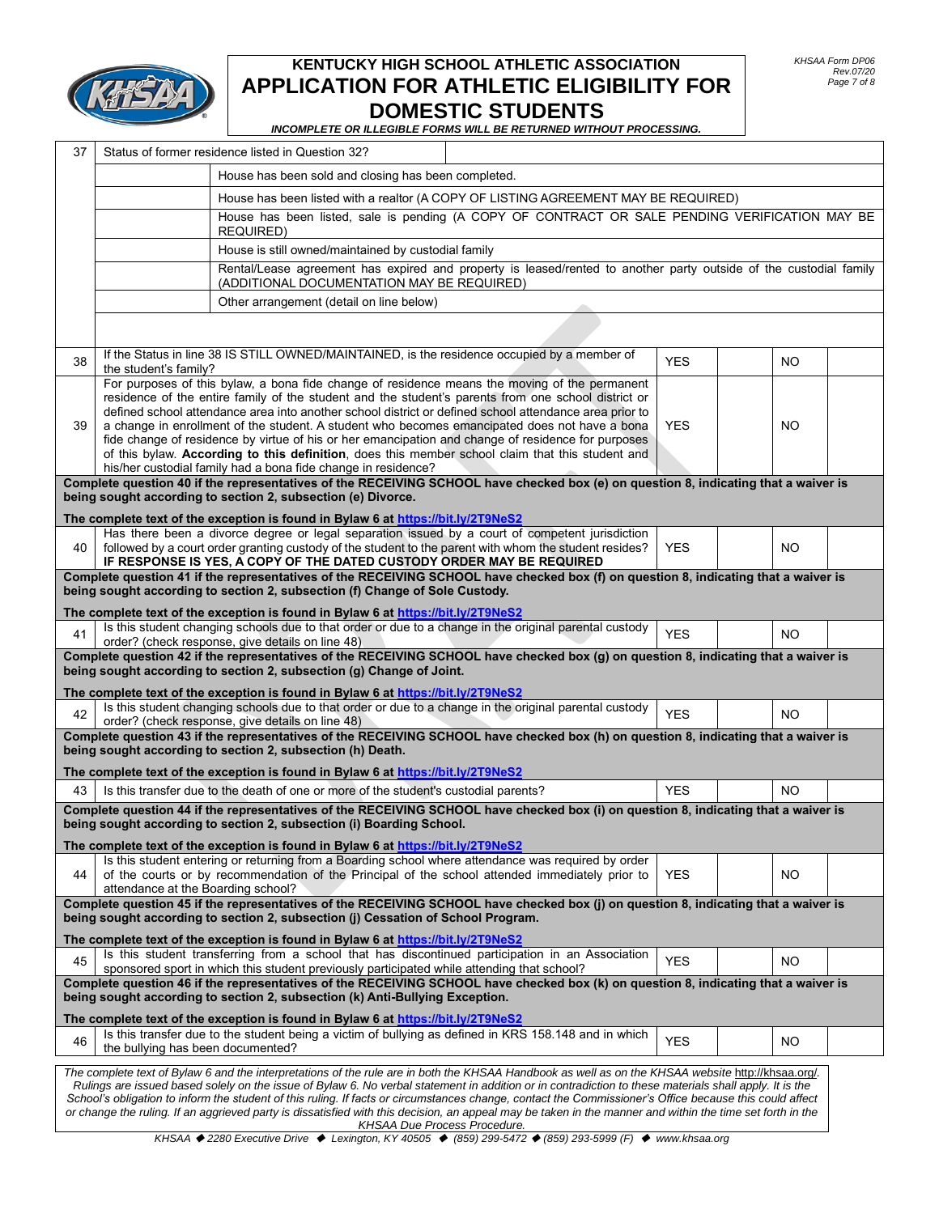

#### *INCOMPLETE OR ILLEGIBLE FORMS WILL BE RETURNED WITHOUT PROCESSING.*

| 37 | Status of former residence listed in Question 32?                                                                                                                                                                                                                                                                                                                                                                                                                                                                                                                                                                                                                    |  |            |                |  |  |
|----|----------------------------------------------------------------------------------------------------------------------------------------------------------------------------------------------------------------------------------------------------------------------------------------------------------------------------------------------------------------------------------------------------------------------------------------------------------------------------------------------------------------------------------------------------------------------------------------------------------------------------------------------------------------------|--|------------|----------------|--|--|
|    | House has been sold and closing has been completed.                                                                                                                                                                                                                                                                                                                                                                                                                                                                                                                                                                                                                  |  |            |                |  |  |
|    | House has been listed with a realtor (A COPY OF LISTING AGREEMENT MAY BE REQUIRED)                                                                                                                                                                                                                                                                                                                                                                                                                                                                                                                                                                                   |  |            |                |  |  |
|    | House has been listed, sale is pending (A COPY OF CONTRACT OR SALE PENDING VERIFICATION MAY BE<br><b>REQUIRED)</b>                                                                                                                                                                                                                                                                                                                                                                                                                                                                                                                                                   |  |            |                |  |  |
|    | House is still owned/maintained by custodial family                                                                                                                                                                                                                                                                                                                                                                                                                                                                                                                                                                                                                  |  |            |                |  |  |
|    | Rental/Lease agreement has expired and property is leased/rented to another party outside of the custodial family<br>(ADDITIONAL DOCUMENTATION MAY BE REQUIRED)                                                                                                                                                                                                                                                                                                                                                                                                                                                                                                      |  |            |                |  |  |
|    | Other arrangement (detail on line below)                                                                                                                                                                                                                                                                                                                                                                                                                                                                                                                                                                                                                             |  |            |                |  |  |
|    |                                                                                                                                                                                                                                                                                                                                                                                                                                                                                                                                                                                                                                                                      |  |            |                |  |  |
| 38 | If the Status in line 38 IS STILL OWNED/MAINTAINED, is the residence occupied by a member of<br>the student's family?                                                                                                                                                                                                                                                                                                                                                                                                                                                                                                                                                |  | <b>YES</b> | NO.            |  |  |
|    | For purposes of this bylaw, a bona fide change of residence means the moving of the permanent                                                                                                                                                                                                                                                                                                                                                                                                                                                                                                                                                                        |  |            |                |  |  |
|    | residence of the entire family of the student and the student's parents from one school district or<br>defined school attendance area into another school district or defined school attendance area prior to                                                                                                                                                                                                                                                                                                                                                                                                                                                        |  |            |                |  |  |
| 39 | a change in enrollment of the student. A student who becomes emancipated does not have a bona                                                                                                                                                                                                                                                                                                                                                                                                                                                                                                                                                                        |  | <b>YES</b> | NO             |  |  |
|    | fide change of residence by virtue of his or her emancipation and change of residence for purposes                                                                                                                                                                                                                                                                                                                                                                                                                                                                                                                                                                   |  |            |                |  |  |
|    | of this bylaw. According to this definition, does this member school claim that this student and<br>his/her custodial family had a bona fide change in residence?                                                                                                                                                                                                                                                                                                                                                                                                                                                                                                    |  |            |                |  |  |
|    | Complete question 40 if the representatives of the RECEIVING SCHOOL have checked box (e) on question 8, indicating that a waiver is                                                                                                                                                                                                                                                                                                                                                                                                                                                                                                                                  |  |            |                |  |  |
|    | being sought according to section 2, subsection (e) Divorce.                                                                                                                                                                                                                                                                                                                                                                                                                                                                                                                                                                                                         |  |            |                |  |  |
|    | The complete text of the exception is found in Bylaw 6 at https://bit.ly/2T9NeS2<br>Has there been a divorce degree or legal separation issued by a court of competent jurisdiction                                                                                                                                                                                                                                                                                                                                                                                                                                                                                  |  |            |                |  |  |
| 40 | followed by a court order granting custody of the student to the parent with whom the student resides?<br>IF RESPONSE IS YES, A COPY OF THE DATED CUSTODY ORDER MAY BE REQUIRED                                                                                                                                                                                                                                                                                                                                                                                                                                                                                      |  | <b>YES</b> | NO.            |  |  |
|    | Complete question 41 if the representatives of the RECEIVING SCHOOL have checked box (f) on question 8, indicating that a waiver is<br>being sought according to section 2, subsection (f) Change of Sole Custody.                                                                                                                                                                                                                                                                                                                                                                                                                                                   |  |            |                |  |  |
|    | The complete text of the exception is found in Bylaw 6 at https://bit.ly/2T9NeS2                                                                                                                                                                                                                                                                                                                                                                                                                                                                                                                                                                                     |  |            |                |  |  |
| 41 | Is this student changing schools due to that order or due to a change in the original parental custody<br>order? (check response, give details on line 48)                                                                                                                                                                                                                                                                                                                                                                                                                                                                                                           |  | <b>YES</b> | NO.            |  |  |
|    | Complete question 42 if the representatives of the RECEIVING SCHOOL have checked box (g) on question 8, indicating that a waiver is<br>being sought according to section 2, subsection (g) Change of Joint.                                                                                                                                                                                                                                                                                                                                                                                                                                                          |  |            |                |  |  |
|    | The complete text of the exception is found in Bylaw 6 at https://bit.ly/2T9NeS2<br>Is this student changing schools due to that order or due to a change in the original parental custody                                                                                                                                                                                                                                                                                                                                                                                                                                                                           |  |            |                |  |  |
| 42 | order? (check response, give details on line 48)                                                                                                                                                                                                                                                                                                                                                                                                                                                                                                                                                                                                                     |  | <b>YES</b> | NO.            |  |  |
|    | Complete question 43 if the representatives of the RECEIVING SCHOOL have checked box (h) on question 8, indicating that a waiver is<br>being sought according to section 2, subsection (h) Death.                                                                                                                                                                                                                                                                                                                                                                                                                                                                    |  |            |                |  |  |
|    | The complete text of the exception is found in Bylaw 6 at https://bit.ly/2T9NeS2                                                                                                                                                                                                                                                                                                                                                                                                                                                                                                                                                                                     |  |            |                |  |  |
| 43 | Is this transfer due to the death of one or more of the student's custodial parents?                                                                                                                                                                                                                                                                                                                                                                                                                                                                                                                                                                                 |  | <b>YES</b> | N <sub>O</sub> |  |  |
|    | Complete question 44 if the representatives of the RECEIVING SCHOOL have checked box (i) on question 8, indicating that a waiver is<br>being sought according to section 2, subsection (i) Boarding School.                                                                                                                                                                                                                                                                                                                                                                                                                                                          |  |            |                |  |  |
|    | The complete text of the exception is found in Bylaw 6 at https://bit.ly/2T9NeS2                                                                                                                                                                                                                                                                                                                                                                                                                                                                                                                                                                                     |  |            |                |  |  |
| 44 | Is this student entering or returning from a Boarding school where attendance was required by order<br>of the courts or by recommendation of the Principal of the school attended immediately prior to<br>attendance at the Boarding school?                                                                                                                                                                                                                                                                                                                                                                                                                         |  | <b>YES</b> | NO.            |  |  |
|    | Complete question 45 if the representatives of the RECEIVING SCHOOL have checked box (j) on question 8, indicating that a waiver is<br>being sought according to section 2, subsection (j) Cessation of School Program.                                                                                                                                                                                                                                                                                                                                                                                                                                              |  |            |                |  |  |
|    | The complete text of the exception is found in Bylaw 6 at https://bit.ly/2T9NeS2                                                                                                                                                                                                                                                                                                                                                                                                                                                                                                                                                                                     |  |            |                |  |  |
| 45 | Is this student transferring from a school that has discontinued participation in an Association<br>sponsored sport in which this student previously participated while attending that school?                                                                                                                                                                                                                                                                                                                                                                                                                                                                       |  | <b>YES</b> | NO             |  |  |
|    | Complete question 46 if the representatives of the RECEIVING SCHOOL have checked box (k) on question 8, indicating that a waiver is<br>being sought according to section 2, subsection (k) Anti-Bullying Exception.                                                                                                                                                                                                                                                                                                                                                                                                                                                  |  |            |                |  |  |
|    | The complete text of the exception is found in Bylaw 6 at https://bit.ly/2T9NeS2                                                                                                                                                                                                                                                                                                                                                                                                                                                                                                                                                                                     |  |            |                |  |  |
| 46 | Is this transfer due to the student being a victim of bullying as defined in KRS 158.148 and in which<br>the bullying has been documented?                                                                                                                                                                                                                                                                                                                                                                                                                                                                                                                           |  | <b>YES</b> | NO             |  |  |
|    | The complete text of Bylaw 6 and the interpretations of the rule are in both the KHSAA Handbook as well as on the KHSAA website http://khsaa.org/.<br>Rulings are issued based solely on the issue of Bylaw 6. No verbal statement in addition or in contradiction to these materials shall apply. It is the<br>School's obligation to inform the student of this ruling. If facts or circumstances change, contact the Commissioner's Office because this could affect<br>or change the ruling. If an aggrieved party is dissatisfied with this decision, an appeal may be taken in the manner and within the time set forth in the<br>KHSAA Due Process Procedure. |  |            |                |  |  |